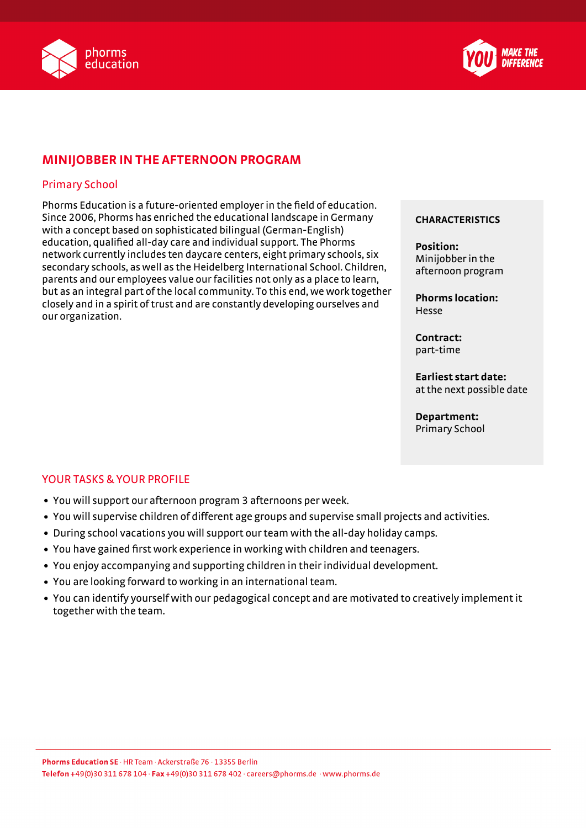



# **MINIJOBBER IN THE AFTERNOON PROGRAM**

## Primary School

Phorms Education is a future-oriented employer in the field of education. Since 2006, Phorms has enriched the educational landscape in Germany with a concept based on sophisticated bilingual (German-English) education, qualified all-day care and individual support. The Phorms network currently includes ten daycare centers, eight primary schools, six secondary schools, as well as the Heidelberg International School. Children, parents and our employees value our facilities not only as a place to learn, but as an integral part of the local community. To this end, we work together closely and in a spirit of trust and are constantly developing ourselves and our organization.

#### **CHARACTERISTICS**

**Position:** Minijobber in the afternoon program

**Phorms location:** Hesse

**Contract:** part-time

**Earliest start date:** at the next possible date

**Department:** Primary School

### YOUR TASKS & YOUR PROFILE

- You will support our afternoon program 3 afternoons per week.
- You will supervise children of different age groups and supervise small projects and activities.
- During school vacations you will support our team with the all-day holiday camps.
- You have gained first work experience in working with children and teenagers.
- You enjoy accompanying and supporting children in their individual development.
- You are looking forward to working in an international team.
- You can identify yourself with our pedagogical concept and are motivated to creatively implement it together with the team.